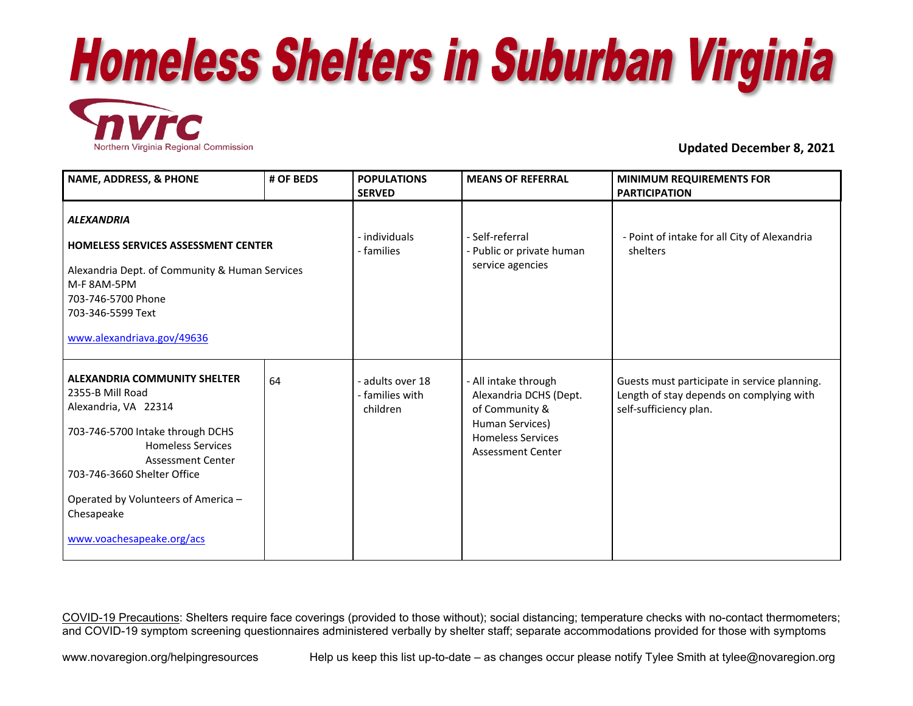



**Updated December 8, 2021** 

| <b>NAME, ADDRESS, &amp; PHONE</b>                                                                                                                                                                                                                                                     | # OF BEDS | <b>POPULATIONS</b><br><b>SERVED</b>           | <b>MEANS OF REFERRAL</b>                                                                                                                    | <b>MINIMUM REQUIREMENTS FOR</b><br><b>PARTICIPATION</b>                                                            |
|---------------------------------------------------------------------------------------------------------------------------------------------------------------------------------------------------------------------------------------------------------------------------------------|-----------|-----------------------------------------------|---------------------------------------------------------------------------------------------------------------------------------------------|--------------------------------------------------------------------------------------------------------------------|
| <b>ALEXANDRIA</b><br><b>HOMELESS SERVICES ASSESSMENT CENTER</b><br>Alexandria Dept. of Community & Human Services<br>M-F 8AM-5PM<br>703-746-5700 Phone<br>703-346-5599 Text<br>www.alexandriava.gov/49636                                                                             |           | - individuals<br>- families                   | - Self-referral<br>- Public or private human<br>service agencies                                                                            | - Point of intake for all City of Alexandria<br>shelters                                                           |
| <b>ALEXANDRIA COMMUNITY SHELTER</b><br>2355-B Mill Road<br>Alexandria, VA 22314<br>703-746-5700 Intake through DCHS<br><b>Homeless Services</b><br>Assessment Center<br>703-746-3660 Shelter Office<br>Operated by Volunteers of America -<br>Chesapeake<br>www.voachesapeake.org/acs | 64        | adults over 18<br>- families with<br>children | - All intake through<br>Alexandria DCHS (Dept.<br>of Community &<br>Human Services)<br><b>Homeless Services</b><br><b>Assessment Center</b> | Guests must participate in service planning.<br>Length of stay depends on complying with<br>self-sufficiency plan. |

COVID-19 Precautions: Shelters require face coverings (provided to those without); social distancing; temperature checks with no-contact thermometers; and COVID-19 symptom screening questionnaires administered verbally by shelter staff; separate accommodations provided for those with symptoms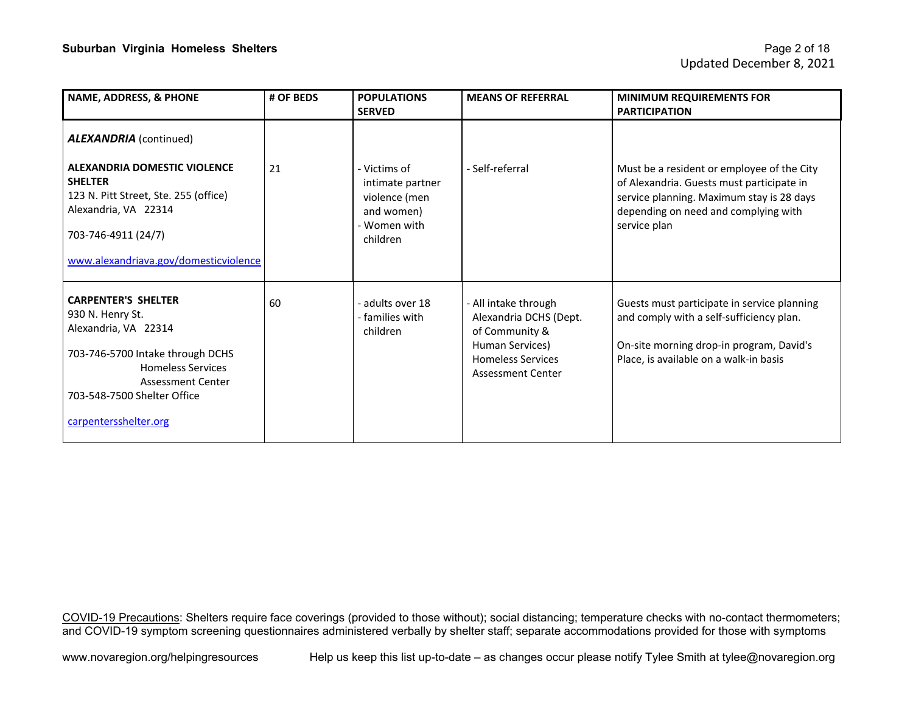| <b>NAME, ADDRESS, &amp; PHONE</b>                                                                                                                                                                                       | # OF BEDS | <b>POPULATIONS</b><br><b>SERVED</b>                                                       | <b>MEANS OF REFERRAL</b>                                                                                                                    | <b>MINIMUM REQUIREMENTS FOR</b><br><b>PARTICIPATION</b>                                                                                                                                      |
|-------------------------------------------------------------------------------------------------------------------------------------------------------------------------------------------------------------------------|-----------|-------------------------------------------------------------------------------------------|---------------------------------------------------------------------------------------------------------------------------------------------|----------------------------------------------------------------------------------------------------------------------------------------------------------------------------------------------|
| <b>ALEXANDRIA</b> (continued)<br><b>ALEXANDRIA DOMESTIC VIOLENCE</b><br><b>SHELTER</b><br>123 N. Pitt Street, Ste. 255 (office)<br>Alexandria, VA 22314<br>703-746-4911 (24/7)<br>www.alexandriava.gov/domesticviolence | 21        | - Victims of<br>intimate partner<br>violence (men<br>and women)<br>Women with<br>children | - Self-referral                                                                                                                             | Must be a resident or employee of the City<br>of Alexandria. Guests must participate in<br>service planning. Maximum stay is 28 days<br>depending on need and complying with<br>service plan |
| <b>CARPENTER'S SHELTER</b><br>930 N. Henry St.<br>Alexandria, VA 22314<br>703-746-5700 Intake through DCHS<br><b>Homeless Services</b><br>Assessment Center<br>703-548-7500 Shelter Office<br>carpentersshelter.org     | 60        | - adults over 18<br>- families with<br>children                                           | - All intake through<br>Alexandria DCHS (Dept.<br>of Community &<br>Human Services)<br><b>Homeless Services</b><br><b>Assessment Center</b> | Guests must participate in service planning<br>and comply with a self-sufficiency plan.<br>On-site morning drop-in program, David's<br>Place, is available on a walk-in basis                |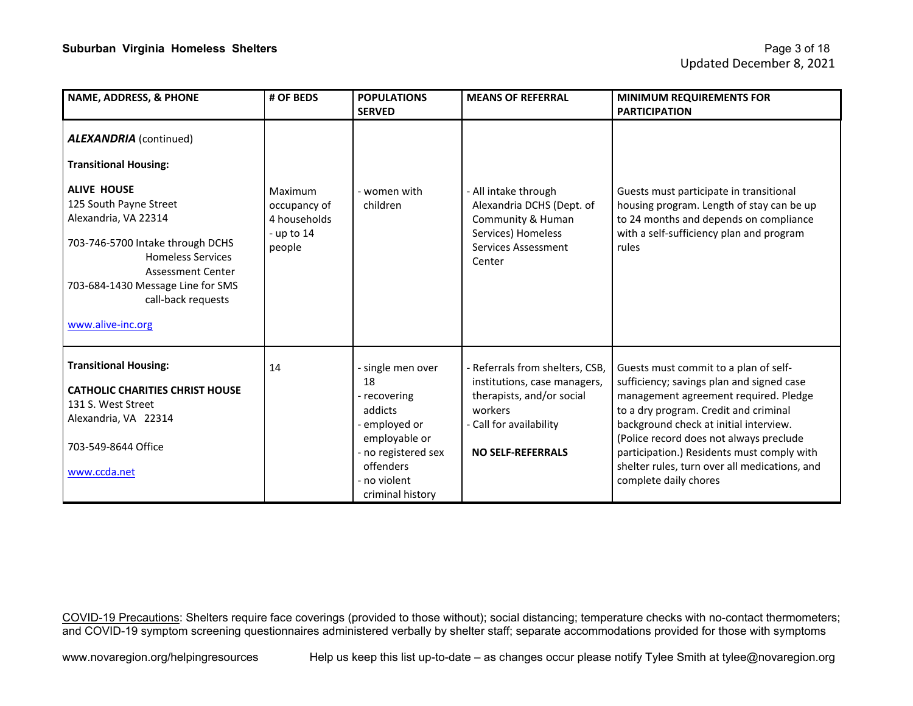| <b>NAME, ADDRESS, &amp; PHONE</b>                                                                                                                                                                                                                | # OF BEDS                                                         | <b>POPULATIONS</b><br><b>SERVED</b>                                                                                                                      | <b>MEANS OF REFERRAL</b>                                                                                                                                       | <b>MINIMUM REQUIREMENTS FOR</b><br><b>PARTICIPATION</b>                                                                                                                                                                                                                                                                                                                           |
|--------------------------------------------------------------------------------------------------------------------------------------------------------------------------------------------------------------------------------------------------|-------------------------------------------------------------------|----------------------------------------------------------------------------------------------------------------------------------------------------------|----------------------------------------------------------------------------------------------------------------------------------------------------------------|-----------------------------------------------------------------------------------------------------------------------------------------------------------------------------------------------------------------------------------------------------------------------------------------------------------------------------------------------------------------------------------|
| <b>ALEXANDRIA</b> (continued)<br><b>Transitional Housing:</b>                                                                                                                                                                                    |                                                                   |                                                                                                                                                          |                                                                                                                                                                |                                                                                                                                                                                                                                                                                                                                                                                   |
| <b>ALIVE HOUSE</b><br>125 South Payne Street<br>Alexandria, VA 22314<br>703-746-5700 Intake through DCHS<br><b>Homeless Services</b><br><b>Assessment Center</b><br>703-684-1430 Message Line for SMS<br>call-back requests<br>www.alive-inc.org | Maximum<br>occupancy of<br>4 households<br>- up to $14$<br>people | - women with<br>children                                                                                                                                 | - All intake through<br>Alexandria DCHS (Dept. of<br>Community & Human<br>Services) Homeless<br>Services Assessment<br>Center                                  | Guests must participate in transitional<br>housing program. Length of stay can be up<br>to 24 months and depends on compliance<br>with a self-sufficiency plan and program<br>rules                                                                                                                                                                                               |
| <b>Transitional Housing:</b><br><b>CATHOLIC CHARITIES CHRIST HOUSE</b><br>131 S. West Street<br>Alexandria, VA 22314<br>703-549-8644 Office<br>www.ccda.net                                                                                      | 14                                                                | - single men over<br>18<br>- recovering<br>addicts<br>employed or<br>employable or<br>no registered sex<br>offenders<br>- no violent<br>criminal history | - Referrals from shelters, CSB,<br>institutions, case managers,<br>therapists, and/or social<br>workers<br>- Call for availability<br><b>NO SELF-REFERRALS</b> | Guests must commit to a plan of self-<br>sufficiency; savings plan and signed case<br>management agreement required. Pledge<br>to a dry program. Credit and criminal<br>background check at initial interview.<br>(Police record does not always preclude<br>participation.) Residents must comply with<br>shelter rules, turn over all medications, and<br>complete daily chores |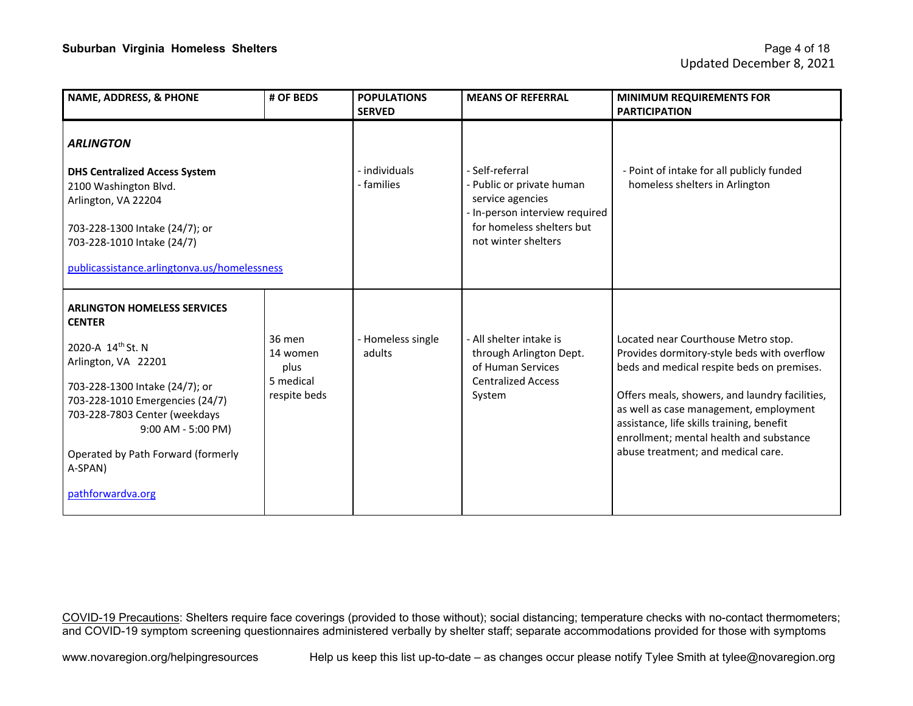| # OF BEDS                                               | <b>POPULATIONS</b><br><b>SERVED</b>          | <b>MEANS OF REFERRAL</b>                                                                                                                               | <b>MINIMUM REQUIREMENTS FOR</b><br><b>PARTICIPATION</b>                                                                                                                                                                                                                                                                                                    |
|---------------------------------------------------------|----------------------------------------------|--------------------------------------------------------------------------------------------------------------------------------------------------------|------------------------------------------------------------------------------------------------------------------------------------------------------------------------------------------------------------------------------------------------------------------------------------------------------------------------------------------------------------|
|                                                         |                                              |                                                                                                                                                        |                                                                                                                                                                                                                                                                                                                                                            |
|                                                         | - individuals<br>- families                  | - Self-referral<br>- Public or private human<br>service agencies<br>- In-person interview required<br>for homeless shelters but<br>not winter shelters | - Point of intake for all publicly funded<br>homeless shelters in Arlington                                                                                                                                                                                                                                                                                |
|                                                         |                                              |                                                                                                                                                        |                                                                                                                                                                                                                                                                                                                                                            |
|                                                         |                                              |                                                                                                                                                        |                                                                                                                                                                                                                                                                                                                                                            |
| 36 men<br>14 women<br>plus<br>5 medical<br>respite beds | - Homeless single<br>adults                  | - All shelter intake is<br>through Arlington Dept.<br>of Human Services<br><b>Centralized Access</b><br>System                                         | Located near Courthouse Metro stop.<br>Provides dormitory-style beds with overflow<br>beds and medical respite beds on premises.<br>Offers meals, showers, and laundry facilities,<br>as well as case management, employment<br>assistance, life skills training, benefit<br>enrollment; mental health and substance<br>abuse treatment; and medical care. |
|                                                         | publicassistance.arlingtonva.us/homelessness |                                                                                                                                                        |                                                                                                                                                                                                                                                                                                                                                            |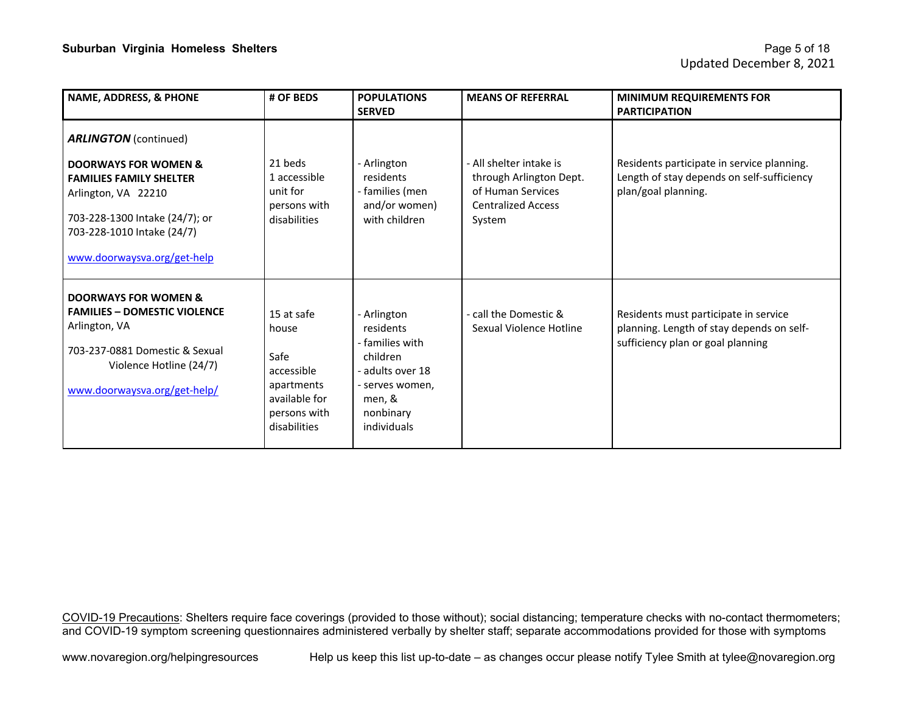| NAME, ADDRESS, & PHONE                                                                                                                                                                  | # OF BEDS                                                                                                | <b>POPULATIONS</b><br><b>SERVED</b>                                                                                                | <b>MEANS OF REFERRAL</b>                                                                                       | <b>MINIMUM REQUIREMENTS FOR</b><br><b>PARTICIPATION</b>                                                                 |
|-----------------------------------------------------------------------------------------------------------------------------------------------------------------------------------------|----------------------------------------------------------------------------------------------------------|------------------------------------------------------------------------------------------------------------------------------------|----------------------------------------------------------------------------------------------------------------|-------------------------------------------------------------------------------------------------------------------------|
| <b>ARLINGTON</b> (continued)                                                                                                                                                            |                                                                                                          |                                                                                                                                    |                                                                                                                |                                                                                                                         |
| <b>DOORWAYS FOR WOMEN &amp;</b><br><b>FAMILIES FAMILY SHELTER</b><br>Arlington, VA 22210<br>703-228-1300 Intake (24/7); or<br>703-228-1010 Intake (24/7)<br>www.doorwaysva.org/get-help | 21 beds<br>1 accessible<br>unit for<br>persons with<br>disabilities                                      | - Arlington<br>residents<br>- families (men<br>and/or women)<br>with children                                                      | - All shelter intake is<br>through Arlington Dept.<br>of Human Services<br><b>Centralized Access</b><br>System | Residents participate in service planning.<br>Length of stay depends on self-sufficiency<br>plan/goal planning.         |
| <b>DOORWAYS FOR WOMEN &amp;</b><br><b>FAMILIES - DOMESTIC VIOLENCE</b><br>Arlington, VA<br>703-237-0881 Domestic & Sexual<br>Violence Hotline (24/7)<br>www.doorwaysva.org/get-help/    | 15 at safe<br>house<br>Safe<br>accessible<br>apartments<br>available for<br>persons with<br>disabilities | - Arlington<br>residents<br>- families with<br>children<br>adults over 18<br>- serves women,<br>men, &<br>nonbinary<br>individuals | - call the Domestic &<br>Sexual Violence Hotline                                                               | Residents must participate in service<br>planning. Length of stay depends on self-<br>sufficiency plan or goal planning |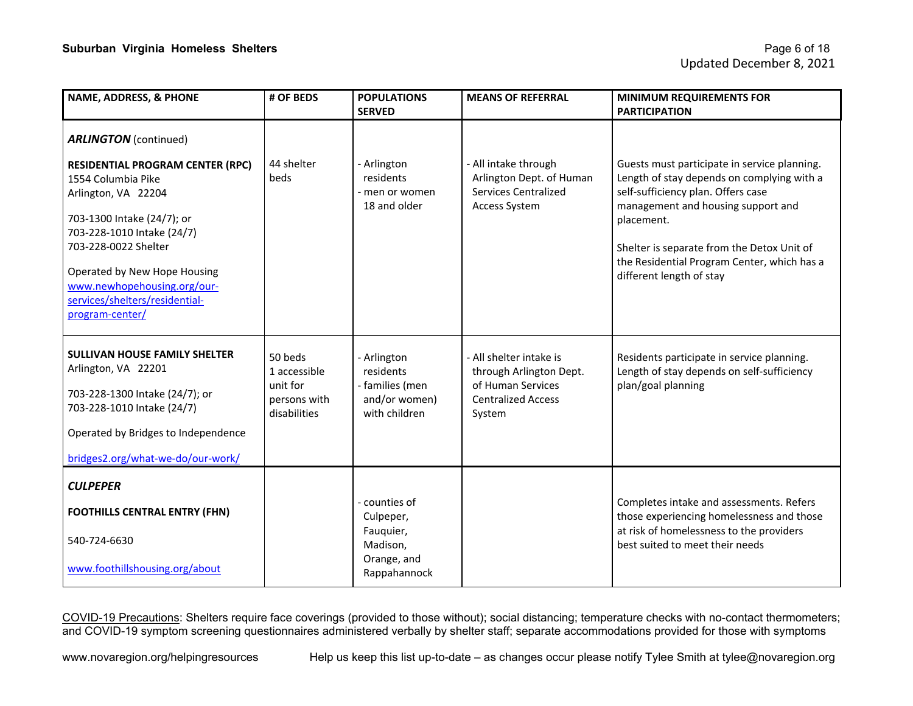| <b>NAME, ADDRESS, &amp; PHONE</b>                                                                                                                                                                                                                                                            | # OF BEDS                                                           | <b>POPULATIONS</b><br><b>SERVED</b>                                                | <b>MEANS OF REFERRAL</b>                                                                                       | <b>MINIMUM REQUIREMENTS FOR</b><br><b>PARTICIPATION</b>                                                                                                                                                                                                                                                       |
|----------------------------------------------------------------------------------------------------------------------------------------------------------------------------------------------------------------------------------------------------------------------------------------------|---------------------------------------------------------------------|------------------------------------------------------------------------------------|----------------------------------------------------------------------------------------------------------------|---------------------------------------------------------------------------------------------------------------------------------------------------------------------------------------------------------------------------------------------------------------------------------------------------------------|
| <b>ARLINGTON</b> (continued)                                                                                                                                                                                                                                                                 |                                                                     |                                                                                    |                                                                                                                |                                                                                                                                                                                                                                                                                                               |
| <b>RESIDENTIAL PROGRAM CENTER (RPC)</b><br>1554 Columbia Pike<br>Arlington, VA 22204<br>703-1300 Intake (24/7); or<br>703-228-1010 Intake (24/7)<br>703-228-0022 Shelter<br>Operated by New Hope Housing<br>www.newhopehousing.org/our-<br>services/shelters/residential-<br>program-center/ | 44 shelter<br>beds                                                  | - Arlington<br>residents<br>- men or women<br>18 and older                         | - All intake through<br>Arlington Dept. of Human<br><b>Services Centralized</b><br>Access System               | Guests must participate in service planning.<br>Length of stay depends on complying with a<br>self-sufficiency plan. Offers case<br>management and housing support and<br>placement.<br>Shelter is separate from the Detox Unit of<br>the Residential Program Center, which has a<br>different length of stay |
| <b>SULLIVAN HOUSE FAMILY SHELTER</b><br>Arlington, VA 22201<br>703-228-1300 Intake (24/7); or<br>703-228-1010 Intake (24/7)<br>Operated by Bridges to Independence<br>bridges2.org/what-we-do/our-work/                                                                                      | 50 beds<br>1 accessible<br>unit for<br>persons with<br>disabilities | - Arlington<br>residents<br>- families (men<br>and/or women)<br>with children      | - All shelter intake is<br>through Arlington Dept.<br>of Human Services<br><b>Centralized Access</b><br>System | Residents participate in service planning.<br>Length of stay depends on self-sufficiency<br>plan/goal planning                                                                                                                                                                                                |
| <b>CULPEPER</b><br><b>FOOTHILLS CENTRAL ENTRY (FHN)</b><br>540-724-6630<br>www.foothillshousing.org/about                                                                                                                                                                                    |                                                                     | - counties of<br>Culpeper,<br>Fauquier,<br>Madison,<br>Orange, and<br>Rappahannock |                                                                                                                | Completes intake and assessments. Refers<br>those experiencing homelessness and those<br>at risk of homelessness to the providers<br>best suited to meet their needs                                                                                                                                          |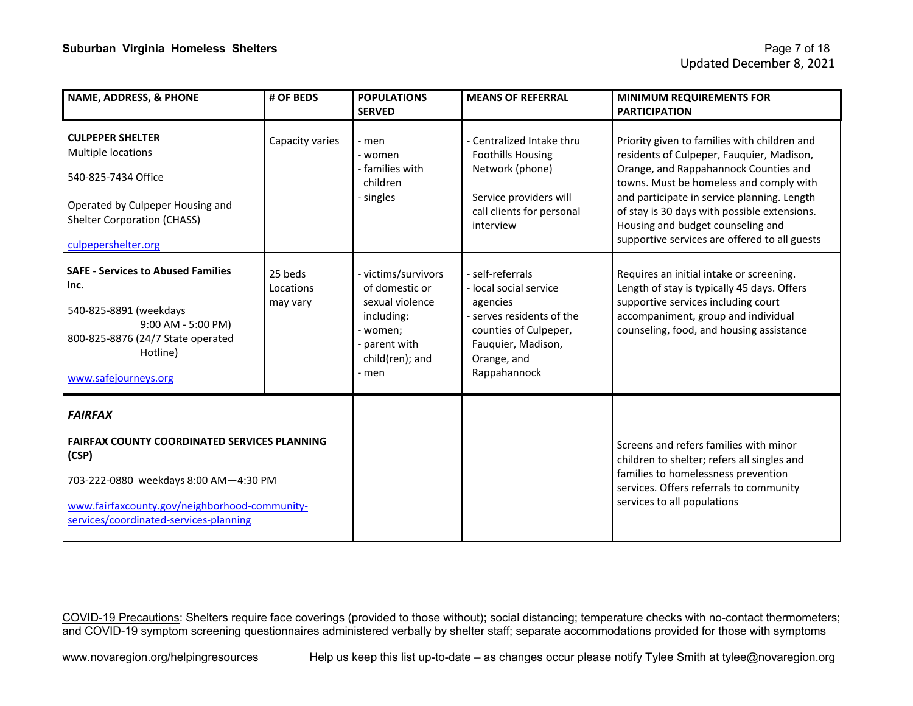| <b>NAME, ADDRESS, &amp; PHONE</b>                                                                                                                                                                                  | # OF BEDS                        | <b>POPULATIONS</b><br><b>SERVED</b>                                                                                         | <b>MEANS OF REFERRAL</b>                                                                                                                                          | <b>MINIMUM REQUIREMENTS FOR</b><br><b>PARTICIPATION</b>                                                                                                                                                                                                                                                                                                            |
|--------------------------------------------------------------------------------------------------------------------------------------------------------------------------------------------------------------------|----------------------------------|-----------------------------------------------------------------------------------------------------------------------------|-------------------------------------------------------------------------------------------------------------------------------------------------------------------|--------------------------------------------------------------------------------------------------------------------------------------------------------------------------------------------------------------------------------------------------------------------------------------------------------------------------------------------------------------------|
| <b>CULPEPER SHELTER</b><br><b>Multiple locations</b><br>540-825-7434 Office<br>Operated by Culpeper Housing and<br><b>Shelter Corporation (CHASS)</b><br>culpepershelter.org                                       | Capacity varies                  | - men<br>- women<br>- families with<br>children<br>- singles                                                                | - Centralized Intake thru<br><b>Foothills Housing</b><br>Network (phone)<br>Service providers will<br>call clients for personal<br>interview                      | Priority given to families with children and<br>residents of Culpeper, Fauquier, Madison,<br>Orange, and Rappahannock Counties and<br>towns. Must be homeless and comply with<br>and participate in service planning. Length<br>of stay is 30 days with possible extensions.<br>Housing and budget counseling and<br>supportive services are offered to all guests |
| <b>SAFE - Services to Abused Families</b><br>Inc.<br>540-825-8891 (weekdays<br>9:00 AM - 5:00 PM)<br>800-825-8876 (24/7 State operated<br>Hotline)<br>www.safejourneys.org                                         | 25 beds<br>Locations<br>may vary | - victims/survivors<br>of domestic or<br>sexual violence<br>including:<br>women;<br>parent with<br>child(ren); and<br>- men | - self-referrals<br>- local social service<br>agencies<br>- serves residents of the<br>counties of Culpeper,<br>Fauquier, Madison,<br>Orange, and<br>Rappahannock | Requires an initial intake or screening.<br>Length of stay is typically 45 days. Offers<br>supportive services including court<br>accompaniment, group and individual<br>counseling, food, and housing assistance                                                                                                                                                  |
| <b>FAIRFAX</b><br><b>FAIRFAX COUNTY COORDINATED SERVICES PLANNING</b><br>(CSP)<br>703-222-0880 weekdays 8:00 AM-4:30 PM<br>www.fairfaxcounty.gov/neighborhood-community-<br>services/coordinated-services-planning |                                  |                                                                                                                             |                                                                                                                                                                   | Screens and refers families with minor<br>children to shelter; refers all singles and<br>families to homelessness prevention<br>services. Offers referrals to community<br>services to all populations                                                                                                                                                             |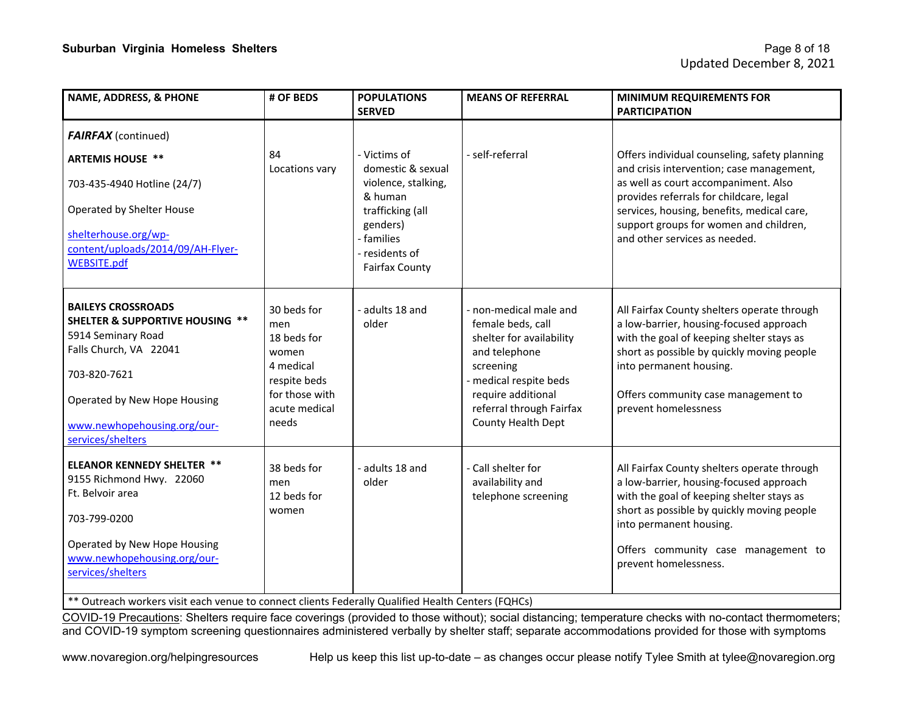| NAME, ADDRESS, & PHONE                                                                                                                                                                                                      | # OF BEDS                                                                                                           | <b>POPULATIONS</b><br><b>SERVED</b>                                                     | <b>MEANS OF REFERRAL</b>                                                                                                                                                                              | <b>MINIMUM REQUIREMENTS FOR</b><br><b>PARTICIPATION</b>                                                                                                                                                                                                                      |
|-----------------------------------------------------------------------------------------------------------------------------------------------------------------------------------------------------------------------------|---------------------------------------------------------------------------------------------------------------------|-----------------------------------------------------------------------------------------|-------------------------------------------------------------------------------------------------------------------------------------------------------------------------------------------------------|------------------------------------------------------------------------------------------------------------------------------------------------------------------------------------------------------------------------------------------------------------------------------|
| <b>FAIRFAX</b> (continued)                                                                                                                                                                                                  |                                                                                                                     |                                                                                         |                                                                                                                                                                                                       |                                                                                                                                                                                                                                                                              |
| <b>ARTEMIS HOUSE **</b><br>703-435-4940 Hotline (24/7)<br>Operated by Shelter House                                                                                                                                         | 84<br>Locations vary                                                                                                | - Victims of<br>domestic & sexual<br>violence, stalking,<br>& human<br>trafficking (all | - self-referral                                                                                                                                                                                       | Offers individual counseling, safety planning<br>and crisis intervention; case management,<br>as well as court accompaniment. Also<br>provides referrals for childcare, legal<br>services, housing, benefits, medical care,                                                  |
| shelterhouse.org/wp-<br>content/uploads/2014/09/AH-Flyer-<br><b>WEBSITE.pdf</b>                                                                                                                                             |                                                                                                                     | genders)<br>- families<br>- residents of<br><b>Fairfax County</b>                       |                                                                                                                                                                                                       | support groups for women and children,<br>and other services as needed.                                                                                                                                                                                                      |
| <b>BAILEYS CROSSROADS</b><br><b>SHELTER &amp; SUPPORTIVE HOUSING **</b><br>5914 Seminary Road<br>Falls Church, VA 22041<br>703-820-7621<br>Operated by New Hope Housing<br>www.newhopehousing.org/our-<br>services/shelters | 30 beds for<br>men<br>18 beds for<br>women<br>4 medical<br>respite beds<br>for those with<br>acute medical<br>needs | adults 18 and<br>older                                                                  | - non-medical male and<br>female beds, call<br>shelter for availability<br>and telephone<br>screening<br>medical respite beds<br>require additional<br>referral through Fairfax<br>County Health Dept | All Fairfax County shelters operate through<br>a low-barrier, housing-focused approach<br>with the goal of keeping shelter stays as<br>short as possible by quickly moving people<br>into permanent housing.<br>Offers community case management to<br>prevent homelessness  |
| <b>ELEANOR KENNEDY SHELTER **</b><br>9155 Richmond Hwy. 22060<br>Ft. Belvoir area<br>703-799-0200<br>Operated by New Hope Housing<br>www.newhopehousing.org/our-<br>services/shelters                                       | 38 beds for<br>men<br>12 beds for<br>women                                                                          | adults 18 and<br>older                                                                  | - Call shelter for<br>availability and<br>telephone screening                                                                                                                                         | All Fairfax County shelters operate through<br>a low-barrier, housing-focused approach<br>with the goal of keeping shelter stays as<br>short as possible by quickly moving people<br>into permanent housing.<br>Offers community case management to<br>prevent homelessness. |

\*\* Outreach workers visit each venue to connect clients Federally Qualified Health Centers (FQHCs)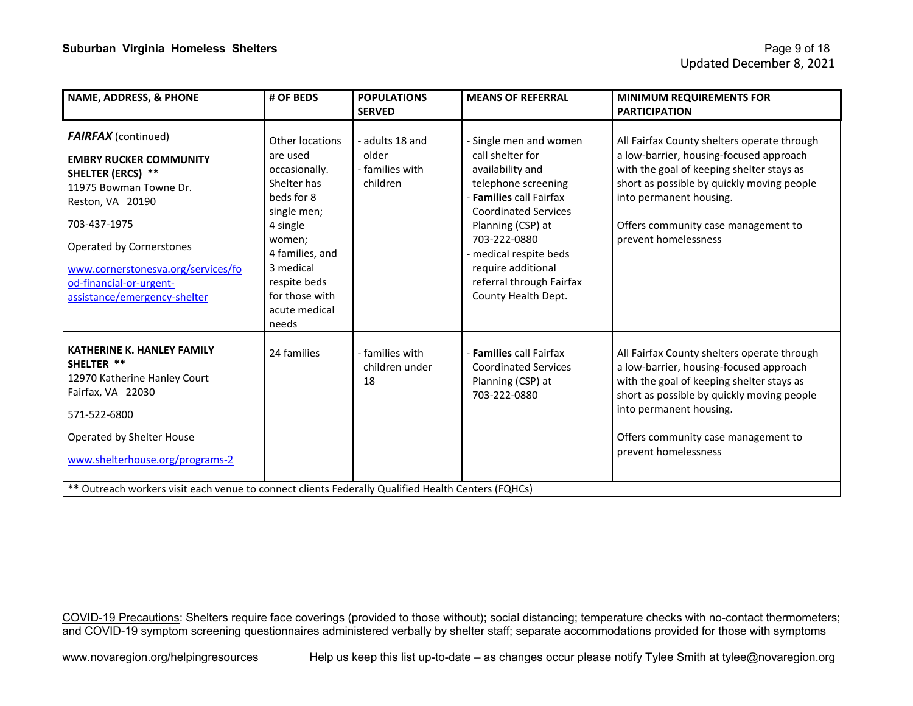| <b>NAME, ADDRESS, &amp; PHONE</b>                                                                                                                                                                                                                                                  | # OF BEDS                                                                                                                                                                                                  | <b>POPULATIONS</b><br><b>SERVED</b>                     | <b>MEANS OF REFERRAL</b>                                                                                                                                                                                                                                                                | <b>MINIMUM REQUIREMENTS FOR</b><br><b>PARTICIPATION</b>                                                                                                                                                                                                                     |  |
|------------------------------------------------------------------------------------------------------------------------------------------------------------------------------------------------------------------------------------------------------------------------------------|------------------------------------------------------------------------------------------------------------------------------------------------------------------------------------------------------------|---------------------------------------------------------|-----------------------------------------------------------------------------------------------------------------------------------------------------------------------------------------------------------------------------------------------------------------------------------------|-----------------------------------------------------------------------------------------------------------------------------------------------------------------------------------------------------------------------------------------------------------------------------|--|
| <b>FAIRFAX</b> (continued)<br><b>EMBRY RUCKER COMMUNITY</b><br><b>SHELTER (ERCS) **</b><br>11975 Bowman Towne Dr.<br>Reston, VA 20190<br>703-437-1975<br>Operated by Cornerstones<br>www.cornerstonesva.org/services/fo<br>od-financial-or-urgent-<br>assistance/emergency-shelter | Other locations<br>are used<br>occasionally.<br>Shelter has<br>beds for 8<br>single men;<br>4 single<br>women;<br>4 families, and<br>3 medical<br>respite beds<br>for those with<br>acute medical<br>needs | - adults 18 and<br>older<br>- families with<br>children | - Single men and women<br>call shelter for<br>availability and<br>telephone screening<br>- Families call Fairfax<br><b>Coordinated Services</b><br>Planning (CSP) at<br>703-222-0880<br>- medical respite beds<br>require additional<br>referral through Fairfax<br>County Health Dept. | All Fairfax County shelters operate through<br>a low-barrier, housing-focused approach<br>with the goal of keeping shelter stays as<br>short as possible by quickly moving people<br>into permanent housing.<br>Offers community case management to<br>prevent homelessness |  |
| <b>KATHERINE K. HANLEY FAMILY</b><br>SHELTER **<br>12970 Katherine Hanley Court<br>Fairfax, VA 22030<br>571-522-6800<br>Operated by Shelter House<br>www.shelterhouse.org/programs-2                                                                                               | 24 families                                                                                                                                                                                                | - families with<br>children under<br>18                 | - Families call Fairfax<br><b>Coordinated Services</b><br>Planning (CSP) at<br>703-222-0880                                                                                                                                                                                             | All Fairfax County shelters operate through<br>a low-barrier, housing-focused approach<br>with the goal of keeping shelter stays as<br>short as possible by quickly moving people<br>into permanent housing.<br>Offers community case management to<br>prevent homelessness |  |
| ** Outreach workers visit each venue to connect clients Federally Qualified Health Centers (FQHCs)                                                                                                                                                                                 |                                                                                                                                                                                                            |                                                         |                                                                                                                                                                                                                                                                                         |                                                                                                                                                                                                                                                                             |  |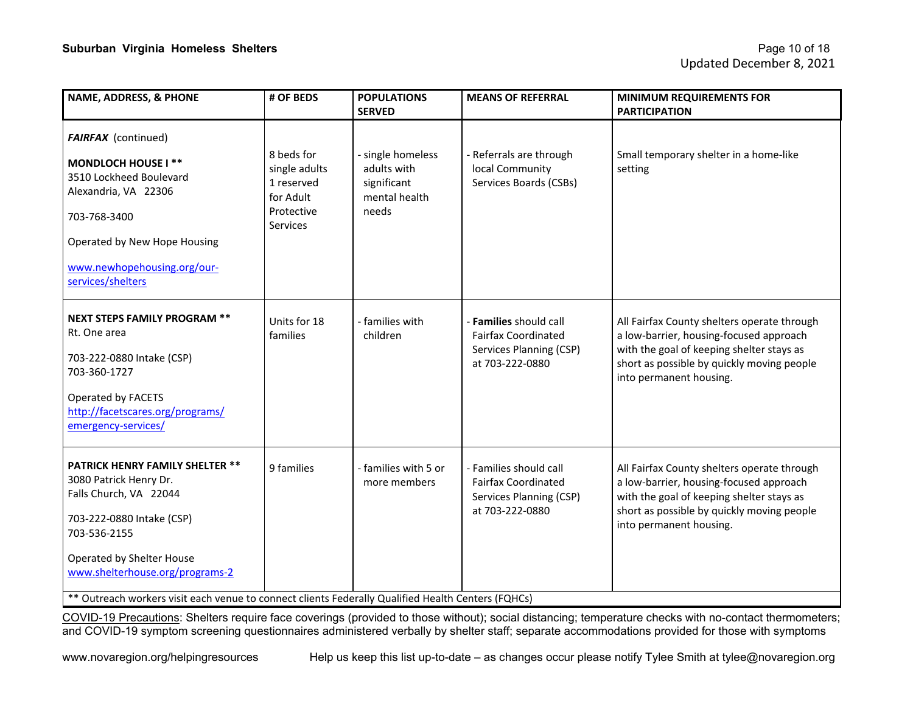| <b>NAME, ADDRESS, &amp; PHONE</b>                                                                                                                                                                                                                                                                             | # OF BEDS                                                                               | <b>POPULATIONS</b><br><b>SERVED</b>                                       | <b>MEANS OF REFERRAL</b>                                                                           | <b>MINIMUM REQUIREMENTS FOR</b><br><b>PARTICIPATION</b>                                                                                                                                                      |
|---------------------------------------------------------------------------------------------------------------------------------------------------------------------------------------------------------------------------------------------------------------------------------------------------------------|-----------------------------------------------------------------------------------------|---------------------------------------------------------------------------|----------------------------------------------------------------------------------------------------|--------------------------------------------------------------------------------------------------------------------------------------------------------------------------------------------------------------|
| <b>FAIRFAX</b> (continued)<br><b>MONDLOCH HOUSE I **</b><br>3510 Lockheed Boulevard<br>Alexandria, VA 22306<br>703-768-3400<br>Operated by New Hope Housing<br>www.newhopehousing.org/our-<br>services/shelters                                                                                               | 8 beds for<br>single adults<br>1 reserved<br>for Adult<br>Protective<br><b>Services</b> | - single homeless<br>adults with<br>significant<br>mental health<br>needs | - Referrals are through<br>local Community<br>Services Boards (CSBs)                               | Small temporary shelter in a home-like<br>setting                                                                                                                                                            |
| <b>NEXT STEPS FAMILY PROGRAM **</b><br>Rt. One area<br>703-222-0880 Intake (CSP)<br>703-360-1727<br>Operated by FACETS<br>http://facetscares.org/programs/<br>emergency-services/                                                                                                                             | Units for 18<br>families                                                                | - families with<br>children                                               | - Families should call<br><b>Fairfax Coordinated</b><br>Services Planning (CSP)<br>at 703-222-0880 | All Fairfax County shelters operate through<br>a low-barrier, housing-focused approach<br>with the goal of keeping shelter stays as<br>short as possible by quickly moving people<br>into permanent housing. |
| <b>PATRICK HENRY FAMILY SHELTER **</b><br>3080 Patrick Henry Dr.<br>Falls Church, VA 22044<br>703-222-0880 Intake (CSP)<br>703-536-2155<br>Operated by Shelter House<br>www.shelterhouse.org/programs-2<br>** Outreach workers visit each venue to connect clients Federally Qualified Health Centers (FQHCs) | 9 families                                                                              | - families with 5 or<br>more members                                      | - Families should call<br><b>Fairfax Coordinated</b><br>Services Planning (CSP)<br>at 703-222-0880 | All Fairfax County shelters operate through<br>a low-barrier, housing-focused approach<br>with the goal of keeping shelter stays as<br>short as possible by quickly moving people<br>into permanent housing. |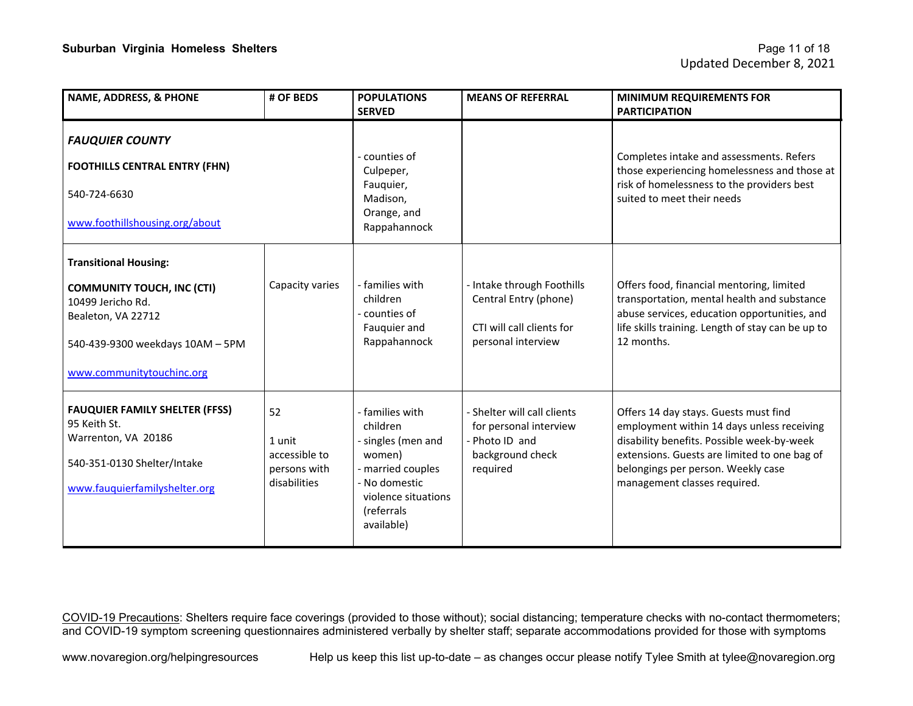| <b>NAME, ADDRESS, &amp; PHONE</b>                                                                                                                                             | # OF BEDS                                                     | <b>POPULATIONS</b><br><b>SERVED</b>                                                                                                                | <b>MEANS OF REFERRAL</b>                                                                                | <b>MINIMUM REQUIREMENTS FOR</b><br><b>PARTICIPATION</b>                                                                                                                                                                                                 |
|-------------------------------------------------------------------------------------------------------------------------------------------------------------------------------|---------------------------------------------------------------|----------------------------------------------------------------------------------------------------------------------------------------------------|---------------------------------------------------------------------------------------------------------|---------------------------------------------------------------------------------------------------------------------------------------------------------------------------------------------------------------------------------------------------------|
| <b>FAUQUIER COUNTY</b><br><b>FOOTHILLS CENTRAL ENTRY (FHN)</b><br>540-724-6630<br>www.foothillshousing.org/about                                                              |                                                               | counties of<br>Culpeper,<br>Fauquier,<br>Madison,<br>Orange, and<br>Rappahannock                                                                   |                                                                                                         | Completes intake and assessments. Refers<br>those experiencing homelessness and those at<br>risk of homelessness to the providers best<br>suited to meet their needs                                                                                    |
| <b>Transitional Housing:</b><br><b>COMMUNITY TOUCH, INC (CTI)</b><br>10499 Jericho Rd.<br>Bealeton, VA 22712<br>540-439-9300 weekdays 10AM - 5PM<br>www.communitytouchinc.org | Capacity varies                                               | - families with<br>children<br>counties of<br>Fauquier and<br>Rappahannock                                                                         | - Intake through Foothills<br>Central Entry (phone)<br>CTI will call clients for<br>personal interview  | Offers food, financial mentoring, limited<br>transportation, mental health and substance<br>abuse services, education opportunities, and<br>life skills training. Length of stay can be up to<br>12 months.                                             |
| <b>FAUQUIER FAMILY SHELTER (FFSS)</b><br>95 Keith St.<br>Warrenton, VA 20186<br>540-351-0130 Shelter/Intake<br>www.fauquierfamilyshelter.org                                  | 52<br>1 unit<br>accessible to<br>persons with<br>disabilities | - families with<br>children<br>singles (men and<br>women)<br>- married couples<br>- No domestic<br>violence situations<br>(referrals<br>available) | - Shelter will call clients<br>for personal interview<br>- Photo ID and<br>background check<br>required | Offers 14 day stays. Guests must find<br>employment within 14 days unless receiving<br>disability benefits. Possible week-by-week<br>extensions. Guests are limited to one bag of<br>belongings per person. Weekly case<br>management classes required. |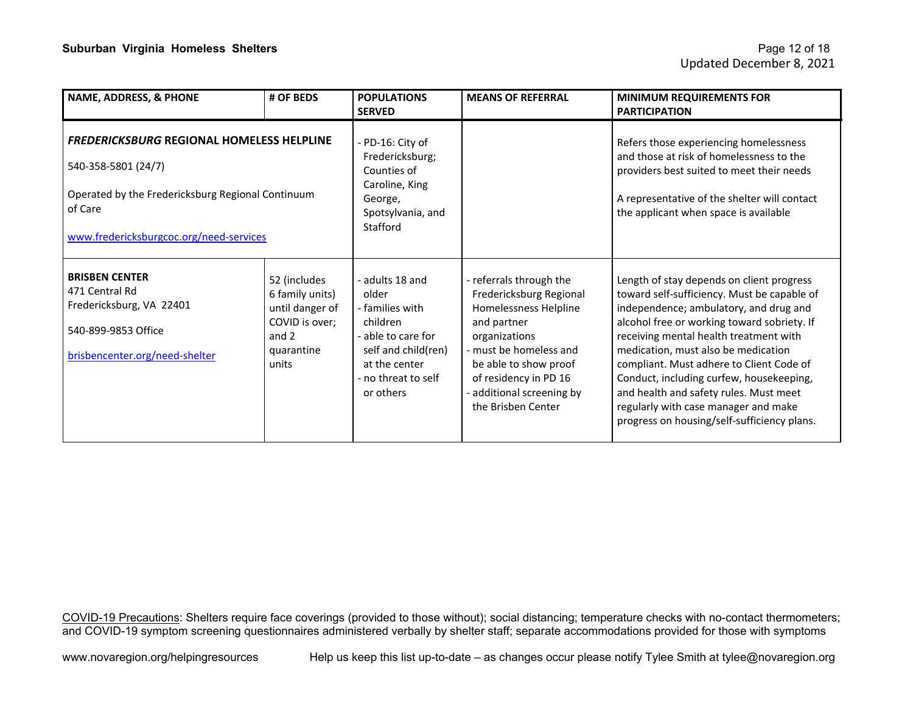| NAME, ADDRESS, & PHONE                                                                                                                                                             | # OF BEDS                                                                                            | <b>POPULATIONS</b><br><b>SERVED</b>                                                                                                                       | <b>MEANS OF REFERRAL</b>                                                                                                                                                                                                                 | <b>MINIMUM REQUIREMENTS FOR</b><br><b>PARTICIPATION</b>                                                                                                                                                                                                                                                                                                                                                                                                                                     |
|------------------------------------------------------------------------------------------------------------------------------------------------------------------------------------|------------------------------------------------------------------------------------------------------|-----------------------------------------------------------------------------------------------------------------------------------------------------------|------------------------------------------------------------------------------------------------------------------------------------------------------------------------------------------------------------------------------------------|---------------------------------------------------------------------------------------------------------------------------------------------------------------------------------------------------------------------------------------------------------------------------------------------------------------------------------------------------------------------------------------------------------------------------------------------------------------------------------------------|
| <b>FREDERICKSBURG REGIONAL HOMELESS HELPLINE</b><br>540-358-5801 (24/7)<br>Operated by the Fredericksburg Regional Continuum<br>of Care<br>www.fredericksburgcoc.org/need-services |                                                                                                      | - PD-16: City of<br>Fredericksburg;<br>Counties of<br>Caroline, King<br>George,<br>Spotsylvania, and<br>Stafford                                          |                                                                                                                                                                                                                                          | Refers those experiencing homelessness<br>and those at risk of homelessness to the<br>providers best suited to meet their needs<br>A representative of the shelter will contact<br>the applicant when space is available                                                                                                                                                                                                                                                                    |
| <b>BRISBEN CENTER</b><br>471 Central Rd<br>Fredericksburg, VA 22401<br>540-899-9853 Office<br>brisbencenter.org/need-shelter                                                       | 52 (includes<br>6 family units)<br>until danger of<br>COVID is over;<br>and 2<br>quarantine<br>units | - adults 18 and<br>older<br>- families with<br>children<br>- able to care for<br>self and child(ren)<br>at the center<br>- no threat to self<br>or others | - referrals through the<br>Fredericksburg Regional<br>Homelessness Helpline<br>and partner<br>organizations<br>- must be homeless and<br>be able to show proof<br>of residency in PD 16<br>additional screening by<br>the Brisben Center | Length of stay depends on client progress<br>toward self-sufficiency. Must be capable of<br>independence; ambulatory, and drug and<br>alcohol free or working toward sobriety. If<br>receiving mental health treatment with<br>medication, must also be medication<br>compliant. Must adhere to Client Code of<br>Conduct, including curfew, housekeeping,<br>and health and safety rules. Must meet<br>regularly with case manager and make<br>progress on housing/self-sufficiency plans. |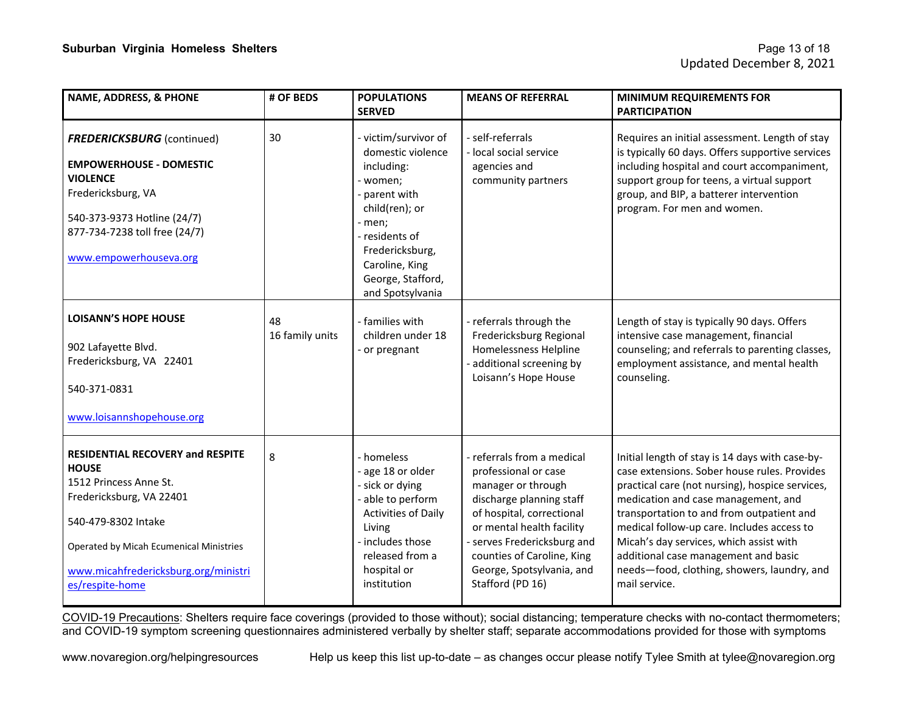| <b>NAME, ADDRESS, &amp; PHONE</b>                                                                                                                                                                                                   | # OF BEDS             | <b>POPULATIONS</b><br><b>SERVED</b>                                                                                                                                                                              | <b>MEANS OF REFERRAL</b>                                                                                                                                                                                                                                                     | <b>MINIMUM REQUIREMENTS FOR</b><br><b>PARTICIPATION</b>                                                                                                                                                                                                                                                                                                                                                                                 |
|-------------------------------------------------------------------------------------------------------------------------------------------------------------------------------------------------------------------------------------|-----------------------|------------------------------------------------------------------------------------------------------------------------------------------------------------------------------------------------------------------|------------------------------------------------------------------------------------------------------------------------------------------------------------------------------------------------------------------------------------------------------------------------------|-----------------------------------------------------------------------------------------------------------------------------------------------------------------------------------------------------------------------------------------------------------------------------------------------------------------------------------------------------------------------------------------------------------------------------------------|
| <b>FREDERICKSBURG</b> (continued)<br><b>EMPOWERHOUSE - DOMESTIC</b><br><b>VIOLENCE</b><br>Fredericksburg, VA<br>540-373-9373 Hotline (24/7)<br>877-734-7238 toll free (24/7)<br>www.empowerhouseva.org                              | 30                    | - victim/survivor of<br>domestic violence<br>including:<br>- women;<br>- parent with<br>child(ren); or<br>- men;<br>- residents of<br>Fredericksburg,<br>Caroline, King<br>George, Stafford,<br>and Spotsylvania | - self-referrals<br>- local social service<br>agencies and<br>community partners                                                                                                                                                                                             | Requires an initial assessment. Length of stay<br>is typically 60 days. Offers supportive services<br>including hospital and court accompaniment,<br>support group for teens, a virtual support<br>group, and BIP, a batterer intervention<br>program. For men and women.                                                                                                                                                               |
| <b>LOISANN'S HOPE HOUSE</b><br>902 Lafayette Blvd.<br>Fredericksburg, VA 22401<br>540-371-0831<br>www.loisannshopehouse.org                                                                                                         | 48<br>16 family units | - families with<br>children under 18<br>- or pregnant                                                                                                                                                            | - referrals through the<br>Fredericksburg Regional<br>Homelessness Helpline<br>additional screening by<br>Loisann's Hope House                                                                                                                                               | Length of stay is typically 90 days. Offers<br>intensive case management, financial<br>counseling; and referrals to parenting classes,<br>employment assistance, and mental health<br>counseling.                                                                                                                                                                                                                                       |
| RESIDENTIAL RECOVERY and RESPITE<br><b>HOUSE</b><br>1512 Princess Anne St.<br>Fredericksburg, VA 22401<br>540-479-8302 Intake<br>Operated by Micah Ecumenical Ministries<br>www.micahfredericksburg.org/ministri<br>es/respite-home | 8                     | - homeless<br>- age 18 or older<br>- sick or dying<br>- able to perform<br><b>Activities of Daily</b><br>Living<br>- includes those<br>released from a<br>hospital or<br>institution                             | - referrals from a medical<br>professional or case<br>manager or through<br>discharge planning staff<br>of hospital, correctional<br>or mental health facility<br>- serves Fredericksburg and<br>counties of Caroline, King<br>George, Spotsylvania, and<br>Stafford (PD 16) | Initial length of stay is 14 days with case-by-<br>case extensions. Sober house rules. Provides<br>practical care (not nursing), hospice services,<br>medication and case management, and<br>transportation to and from outpatient and<br>medical follow-up care. Includes access to<br>Micah's day services, which assist with<br>additional case management and basic<br>needs-food, clothing, showers, laundry, and<br>mail service. |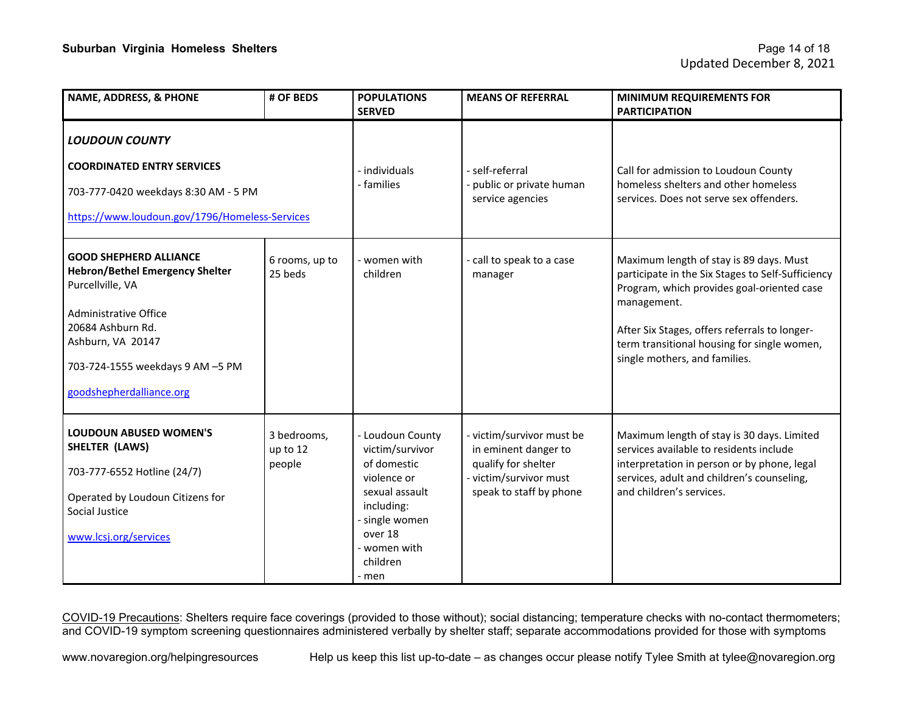| <b>NAME, ADDRESS, &amp; PHONE</b>                                                                                                                                                                                                     | # OF BEDS                         | <b>POPULATIONS</b><br><b>SERVED</b>                                                                                                                               | <b>MEANS OF REFERRAL</b>                                                                                                      | <b>MINIMUM REQUIREMENTS FOR</b><br><b>PARTICIPATION</b>                                                                                                                                                                                                                                    |
|---------------------------------------------------------------------------------------------------------------------------------------------------------------------------------------------------------------------------------------|-----------------------------------|-------------------------------------------------------------------------------------------------------------------------------------------------------------------|-------------------------------------------------------------------------------------------------------------------------------|--------------------------------------------------------------------------------------------------------------------------------------------------------------------------------------------------------------------------------------------------------------------------------------------|
| <b>LOUDOUN COUNTY</b><br><b>COORDINATED ENTRY SERVICES</b><br>703-777-0420 weekdays 8:30 AM - 5 PM<br>https://www.loudoun.gov/1796/Homeless-Services                                                                                  |                                   | - individuals<br>- families                                                                                                                                       | - self-referral<br>public or private human<br>service agencies                                                                | Call for admission to Loudoun County<br>homeless shelters and other homeless<br>services. Does not serve sex offenders.                                                                                                                                                                    |
| <b>GOOD SHEPHERD ALLIANCE</b><br><b>Hebron/Bethel Emergency Shelter</b><br>Purcellville, VA<br><b>Administrative Office</b><br>20684 Ashburn Rd.<br>Ashburn, VA 20147<br>703-724-1555 weekdays 9 AM -5 PM<br>goodshepherdalliance.org | 6 rooms, up to<br>25 beds         | - women with<br>children                                                                                                                                          | call to speak to a case<br>manager                                                                                            | Maximum length of stay is 89 days. Must<br>participate in the Six Stages to Self-Sufficiency<br>Program, which provides goal-oriented case<br>management.<br>After Six Stages, offers referrals to longer-<br>term transitional housing for single women,<br>single mothers, and families. |
| <b>LOUDOUN ABUSED WOMEN'S</b><br>SHELTER (LAWS)<br>703-777-6552 Hotline (24/7)<br>Operated by Loudoun Citizens for<br>Social Justice<br>www.lcsj.org/services                                                                         | 3 bedrooms,<br>up to 12<br>people | - Loudoun County<br>victim/survivor<br>of domestic<br>violence or<br>sexual assault<br>including:<br>single women<br>over 18<br>- women with<br>children<br>- men | - victim/survivor must be<br>in eminent danger to<br>qualify for shelter<br>- victim/survivor must<br>speak to staff by phone | Maximum length of stay is 30 days. Limited<br>services available to residents include<br>interpretation in person or by phone, legal<br>services, adult and children's counseling,<br>and children's services.                                                                             |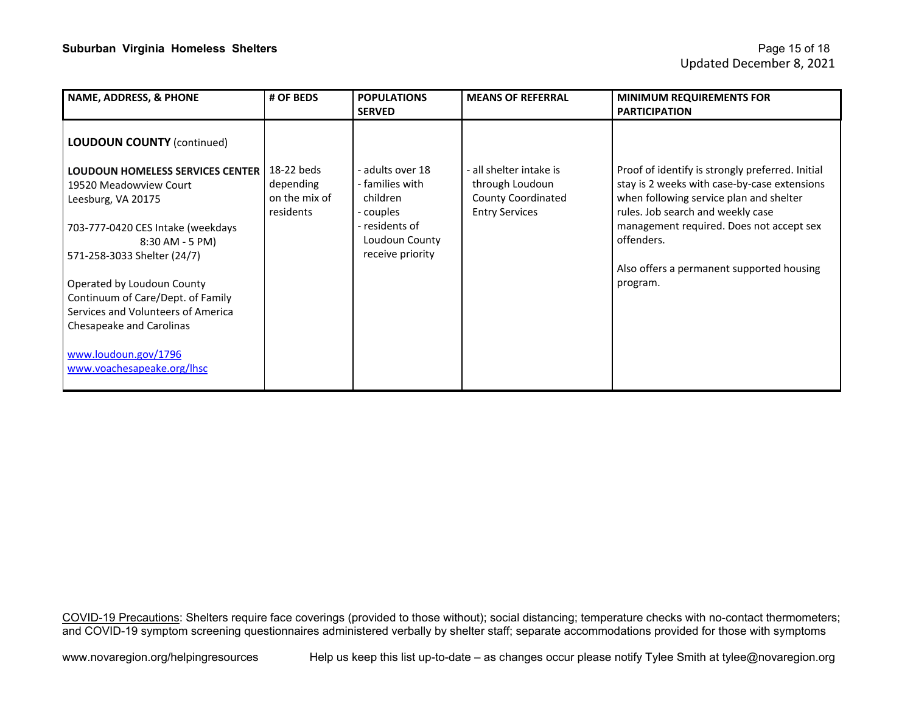| NAME, ADDRESS, & PHONE                                                                                                                                                                                                                                                                                                                                                                                         | # OF BEDS                                             | <b>POPULATIONS</b><br><b>SERVED</b>                                                                                  | <b>MEANS OF REFERRAL</b>                                                                         | <b>MINIMUM REQUIREMENTS FOR</b><br><b>PARTICIPATION</b>                                                                                                                                                                                                                                             |
|----------------------------------------------------------------------------------------------------------------------------------------------------------------------------------------------------------------------------------------------------------------------------------------------------------------------------------------------------------------------------------------------------------------|-------------------------------------------------------|----------------------------------------------------------------------------------------------------------------------|--------------------------------------------------------------------------------------------------|-----------------------------------------------------------------------------------------------------------------------------------------------------------------------------------------------------------------------------------------------------------------------------------------------------|
| <b>LOUDOUN COUNTY (continued)</b><br><b>LOUDOUN HOMELESS SERVICES CENTER</b><br>19520 Meadowview Court<br>Leesburg, VA 20175<br>703-777-0420 CES Intake (weekdays<br>8:30 AM - 5 PM)<br>571-258-3033 Shelter (24/7)<br>Operated by Loudoun County<br>Continuum of Care/Dept. of Family<br>Services and Volunteers of America<br>Chesapeake and Carolinas<br>www.loudoun.gov/1796<br>www.voachesapeake.org/lhsc | 18-22 beds<br>depending<br>on the mix of<br>residents | - adults over 18<br>- families with<br>children<br>- couples<br>- residents of<br>Loudoun County<br>receive priority | - all shelter intake is<br>through Loudoun<br><b>County Coordinated</b><br><b>Entry Services</b> | Proof of identify is strongly preferred. Initial<br>stay is 2 weeks with case-by-case extensions<br>when following service plan and shelter<br>rules. Job search and weekly case<br>management required. Does not accept sex<br>offenders.<br>Also offers a permanent supported housing<br>program. |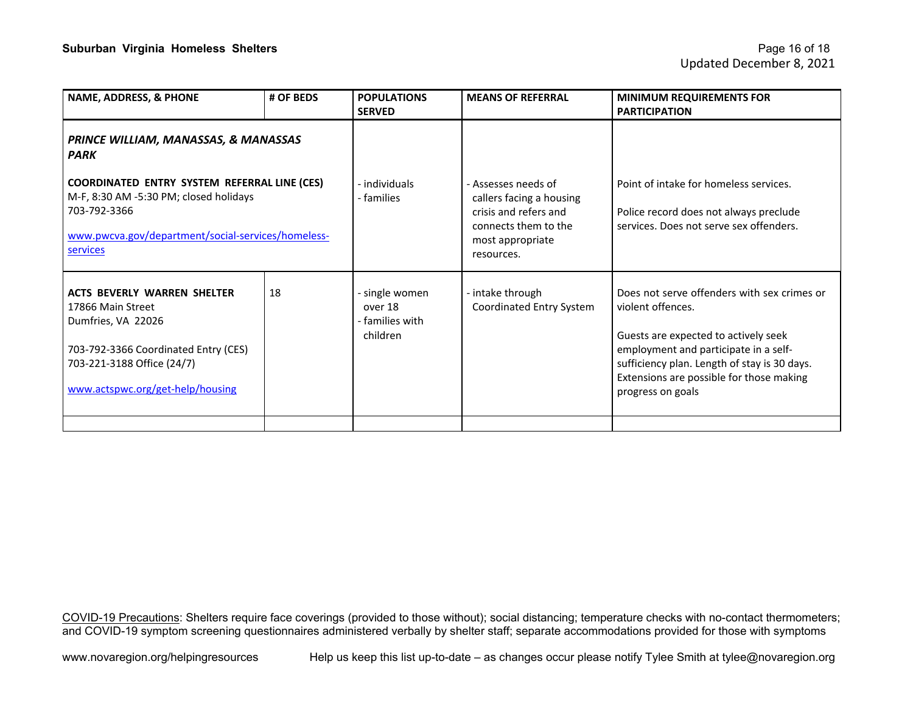| <b>NAME, ADDRESS, &amp; PHONE</b>                                                                                                                                                       | # OF BEDS | <b>POPULATIONS</b><br><b>SERVED</b>                      | <b>MEANS OF REFERRAL</b>                                                                                                           | <b>MINIMUM REQUIREMENTS FOR</b><br><b>PARTICIPATION</b>                                                                                                                                                                                                            |
|-----------------------------------------------------------------------------------------------------------------------------------------------------------------------------------------|-----------|----------------------------------------------------------|------------------------------------------------------------------------------------------------------------------------------------|--------------------------------------------------------------------------------------------------------------------------------------------------------------------------------------------------------------------------------------------------------------------|
| PRINCE WILLIAM, MANASSAS, & MANASSAS<br><b>PARK</b>                                                                                                                                     |           |                                                          |                                                                                                                                    |                                                                                                                                                                                                                                                                    |
| COORDINATED ENTRY SYSTEM REFERRAL LINE (CES)<br>M-F, 8:30 AM -5:30 PM; closed holidays<br>703-792-3366<br>www.pwcva.gov/department/social-services/homeless-<br>services                |           | - individuals<br>- families                              | - Assesses needs of<br>callers facing a housing<br>crisis and refers and<br>connects them to the<br>most appropriate<br>resources. | Point of intake for homeless services.<br>Police record does not always preclude<br>services. Does not serve sex offenders.                                                                                                                                        |
| <b>ACTS BEVERLY WARREN SHELTER</b><br>17866 Main Street<br>Dumfries, VA 22026<br>703-792-3366 Coordinated Entry (CES)<br>703-221-3188 Office (24/7)<br>www.actspwc.org/get-help/housing | 18        | - single women<br>over 18<br>- families with<br>children | - intake through<br>Coordinated Entry System                                                                                       | Does not serve offenders with sex crimes or<br>violent offences.<br>Guests are expected to actively seek<br>employment and participate in a self-<br>sufficiency plan. Length of stay is 30 days.<br>Extensions are possible for those making<br>progress on goals |
|                                                                                                                                                                                         |           |                                                          |                                                                                                                                    |                                                                                                                                                                                                                                                                    |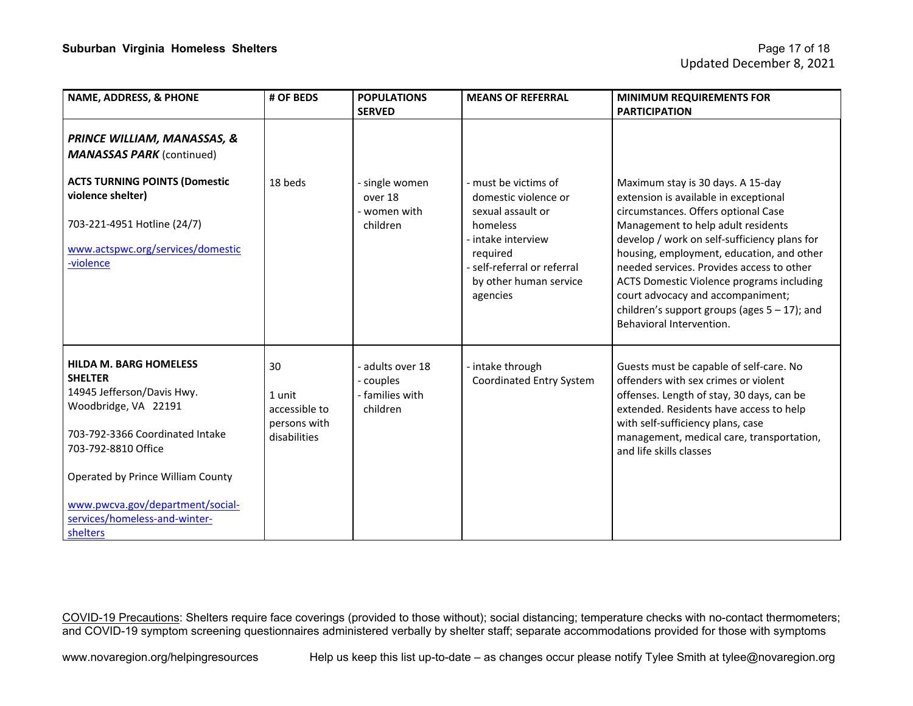| <b>NAME, ADDRESS, &amp; PHONE</b>                                                                                                                               | # OF BEDS                                                     | <b>POPULATIONS</b><br><b>SERVED</b>                      | <b>MEANS OF REFERRAL</b>                                                                | <b>MINIMUM REQUIREMENTS FOR</b><br><b>PARTICIPATION</b>                                                                                                                                                                                                                              |
|-----------------------------------------------------------------------------------------------------------------------------------------------------------------|---------------------------------------------------------------|----------------------------------------------------------|-----------------------------------------------------------------------------------------|--------------------------------------------------------------------------------------------------------------------------------------------------------------------------------------------------------------------------------------------------------------------------------------|
| <b>PRINCE WILLIAM, MANASSAS, &amp;</b><br><b>MANASSAS PARK (continued)</b>                                                                                      |                                                               |                                                          |                                                                                         |                                                                                                                                                                                                                                                                                      |
| <b>ACTS TURNING POINTS (Domestic</b><br>violence shelter)<br>703-221-4951 Hotline (24/7)                                                                        | 18 heds                                                       | - single women<br>over 18<br>- women with<br>children    | - must be victims of<br>domestic violence or<br>sexual assault or<br>homeless           | Maximum stay is 30 days. A 15-day<br>extension is available in exceptional<br>circumstances. Offers optional Case<br>Management to help adult residents                                                                                                                              |
| www.actspwc.org/services/domestic<br>-violence                                                                                                                  |                                                               |                                                          | - intake interview<br>required<br>- self-referral or referral<br>by other human service | develop / work on self-sufficiency plans for<br>housing, employment, education, and other<br>needed services. Provides access to other<br>ACTS Domestic Violence programs including                                                                                                  |
|                                                                                                                                                                 |                                                               |                                                          | agencies                                                                                | court advocacy and accompaniment;<br>children's support groups (ages $5 - 17$ ); and<br>Behavioral Intervention.                                                                                                                                                                     |
| <b>HILDA M. BARG HOMELESS</b><br><b>SHELTER</b><br>14945 Jefferson/Davis Hwy.<br>Woodbridge, VA 22191<br>703-792-3366 Coordinated Intake<br>703-792-8810 Office | 30<br>1 unit<br>accessible to<br>persons with<br>disabilities | adults over 18<br>couples<br>- families with<br>children | - intake through<br>Coordinated Entry System                                            | Guests must be capable of self-care. No<br>offenders with sex crimes or violent<br>offenses. Length of stay, 30 days, can be<br>extended. Residents have access to help<br>with self-sufficiency plans, case<br>management, medical care, transportation,<br>and life skills classes |
| Operated by Prince William County<br>www.pwcva.gov/department/social-<br>services/homeless-and-winter-<br>shelters                                              |                                                               |                                                          |                                                                                         |                                                                                                                                                                                                                                                                                      |